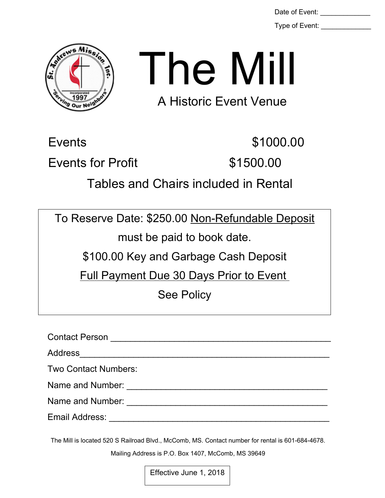Type of Event:



## The Mill

A Historic Event Venue

Events \$1000.00

Events for Profit 61500.00

Tables and Chairs included in Rental

To Reserve Date: \$250.00 Non-Refundable Deposit

must be paid to book date.

\$100.00 Key and Garbage Cash Deposit

Full Payment Due 30 Days Prior to Event

See Policy

Contact Person \_\_\_\_\_\_\_\_\_\_\_\_\_\_\_\_\_\_\_\_\_\_\_\_\_\_\_\_\_\_\_\_\_\_\_\_\_\_\_\_\_\_\_\_\_ Address Two Contact Numbers: Name and Number: \_\_\_\_\_\_\_\_\_\_\_\_\_\_\_\_\_\_\_\_\_\_\_\_\_\_\_\_\_\_\_\_\_\_\_\_\_\_\_\_\_ Name and Number: \_\_\_\_\_\_\_\_\_\_\_\_\_\_\_\_\_\_\_\_\_\_\_\_\_\_\_\_\_\_\_\_\_\_\_\_\_\_\_\_\_ Email Address: \_\_\_\_\_\_\_\_\_\_\_\_\_\_\_\_\_\_\_\_\_\_\_\_\_\_\_\_\_\_\_\_\_\_\_\_\_\_\_\_\_\_\_\_\_

The Mill is located 520 S Railroad Blvd., McComb, MS. Contact number for rental is 601-684-4678.

Mailing Address is P.O. Box 1407, McComb, MS 39649

Effective June 1, 2018